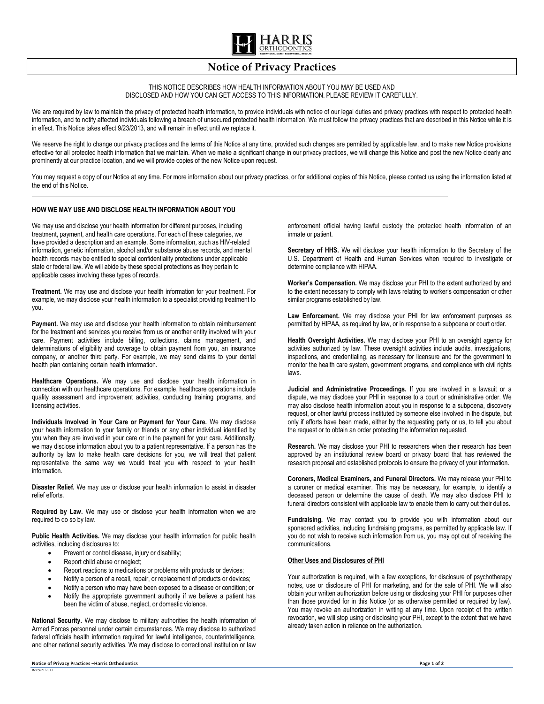

# **Notice of Privacy Practices**

#### THIS NOTICE DESCRIBES HOW HEALTH INFORMATION ABOUT YOU MAY BE USED AND DISCLOSED AND HOW YOU CAN GET ACCESS TO THIS INFORMATION. PLEASE REVIEW IT CAREFULLY.

We are required by law to maintain the privacy of protected health information, to provide individuals with notice of our legal duties and privacy practices with respect to protected health information, and to notify affected individuals following a breach of unsecured protected health information. We must follow the privacy practices that are described in this Notice while it is in effect. This Notice takes effect 9/23/2013, and will remain in effect until we replace it.

We reserve the right to change our privacy practices and the terms of this Notice at any time, provided such changes are permitted by applicable law, and to make new Notice provisions effective for all protected health information that we maintain. When we make a significant change in our privacy practices, we will change this Notice and post the new Notice clearly and prominently at our practice location, and we will provide copies of the new Notice upon request.

You may request a copy of our Notice at any time. For more information about our privacy practices, or for additional copies of this Notice, please contact us using the information listed at the end of this Notice.

## **HOW WE MAY USE AND DISCLOSE HEALTH INFORMATION ABOUT YOU**

We may use and disclose your health information for different purposes, including treatment, payment, and health care operations. For each of these categories, we have provided a description and an example. Some information, such as HIV-related information, genetic information, alcohol and/or substance abuse records, and mental health records may be entitled to special confidentiality protections under applicable state or federal law. We will abide by these special protections as they pertain to applicable cases involving these types of records.

**Treatment.** We may use and disclose your health information for your treatment. For example, we may disclose your health information to a specialist providing treatment to you.

**Payment.** We may use and disclose your health information to obtain reimbursement for the treatment and services you receive from us or another entity involved with your care. Payment activities include billing, collections, claims management, and determinations of eligibility and coverage to obtain payment from you, an insurance company, or another third party. For example, we may send claims to your dental health plan containing certain health information.

**Healthcare Operations.** We may use and disclose your health information in connection with our healthcare operations. For example, healthcare operations include quality assessment and improvement activities, conducting training programs, and licensing activities.

**Individuals Involved in Your Care or Payment for Your Care.** We may disclose your health information to your family or friends or any other individual identified by you when they are involved in your care or in the payment for your care. Additionally, we may disclose information about you to a patient representative. If a person has the authority by law to make health care decisions for you, we will treat that patient representative the same way we would treat you with respect to your health information.

**Disaster Relief.** We may use or disclose your health information to assist in disaster relief efforts.

**Required by Law.** We may use or disclose your health information when we are required to do so by law.

**Public Health Activities.** We may disclose your health information for public health activities, including disclosures to:

- Prevent or control disease, injury or disability;
- Report child abuse or neglect;
- Report reactions to medications or problems with products or devices;
- Notify a person of a recall, repair, or replacement of products or devices;
- Notify a person who may have been exposed to a disease or condition; or
- Notify the appropriate government authority if we believe a patient has been the victim of abuse, neglect, or domestic violence.

**National Security.** We may disclose to military authorities the health information of Armed Forces personnel under certain circumstances. We may disclose to authorized federal officials health information required for lawful intelligence, counterintelligence, and other national security activities. We may disclose to correctional institution or law enforcement official having lawful custody the protected health information of an inmate or patient.

**Secretary of HHS.** We will disclose your health information to the Secretary of the U.S. Department of Health and Human Services when required to investigate or determine compliance with HIPAA.

**Worker's Compensation.** We may disclose your PHI to the extent authorized by and to the extent necessary to comply with laws relating to worker's compensation or other similar programs established by law.

**Law Enforcement.** We may disclose your PHI for law enforcement purposes as permitted by HIPAA, as required by law, or in response to a subpoena or court order.

**Health Oversight Activities.** We may disclose your PHI to an oversight agency for activities authorized by law. These oversight activities include audits, investigations, inspections, and credentialing, as necessary for licensure and for the government to monitor the health care system, government programs, and compliance with civil rights laws.

**Judicial and Administrative Proceedings.** If you are involved in a lawsuit or a dispute, we may disclose your PHI in response to a court or administrative order. We may also disclose health information about you in response to a subpoena, discovery request, or other lawful process instituted by someone else involved in the dispute, but only if efforts have been made, either by the requesting party or us, to tell you about the request or to obtain an order protecting the information requested.

**Research.** We may disclose your PHI to researchers when their research has been approved by an institutional review board or privacy board that has reviewed the research proposal and established protocols to ensure the privacy of your information.

**Coroners, Medical Examiners, and Funeral Directors.** We may release your PHI to a coroner or medical examiner. This may be necessary, for example, to identify a deceased person or determine the cause of death. We may also disclose PHI to funeral directors consistent with applicable law to enable them to carry out their duties.

**Fundraising.** We may contact you to provide you with information about our sponsored activities, including fundraising programs, as permitted by applicable law. If you do not wish to receive such information from us, you may opt out of receiving the communications.

#### **Other Uses and Disclosures of PHI**

Your authorization is required, with a few exceptions, for disclosure of psychotherapy notes, use or disclosure of PHI for marketing, and for the sale of PHI. We will also obtain your written authorization before using or disclosing your PHI for purposes other than those provided for in this Notice (or as otherwise permitted or required by law). You may revoke an authorization in writing at any time. Upon receipt of the written revocation, we will stop using or disclosing your PHI, except to the extent that we have already taken action in reliance on the authorization.